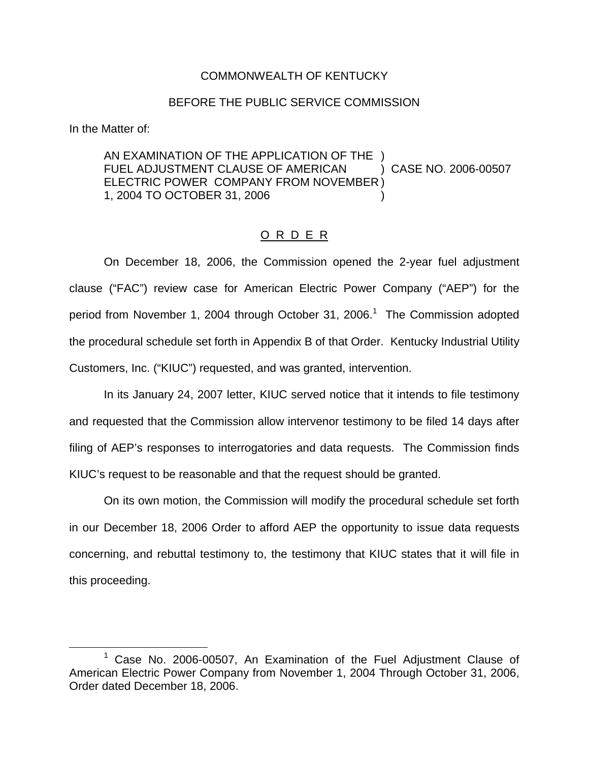### COMMONWEALTH OF KENTUCKY

### BEFORE THE PUBLIC SERVICE COMMISSION

In the Matter of:

AN EXAMINATION OF THE APPLICATION OF THE ) FUEL ADJUSTMENT CLAUSE OF AMERICAN ) CASE NO. 2006-00507 ELECTRIC POWER COMPANY FROM NOVEMBER ) 1, 2004 TO OCTOBER 31, 2006 )

## O R D E R

On December 18, 2006, the Commission opened the 2-year fuel adjustment clause ("FAC") review case for American Electric Power Company ("AEP") for the period from November 1, 2004 through October 31, 2006.<sup>1</sup> The Commission adopted the procedural schedule set forth in Appendix B of that Order. Kentucky Industrial Utility Customers, Inc. ("KIUC") requested, and was granted, intervention.

In its January 24, 2007 letter, KIUC served notice that it intends to file testimony and requested that the Commission allow intervenor testimony to be filed 14 days after filing of AEP's responses to interrogatories and data requests. The Commission finds KIUC's request to be reasonable and that the request should be granted.

On its own motion, the Commission will modify the procedural schedule set forth in our December 18, 2006 Order to afford AEP the opportunity to issue data requests concerning, and rebuttal testimony to, the testimony that KIUC states that it will file in this proceeding.

Case No. 2006-00507, An Examination of the Fuel Adjustment Clause of American Electric Power Company from November 1, 2004 Through October 31, 2006, Order dated December 18, 2006.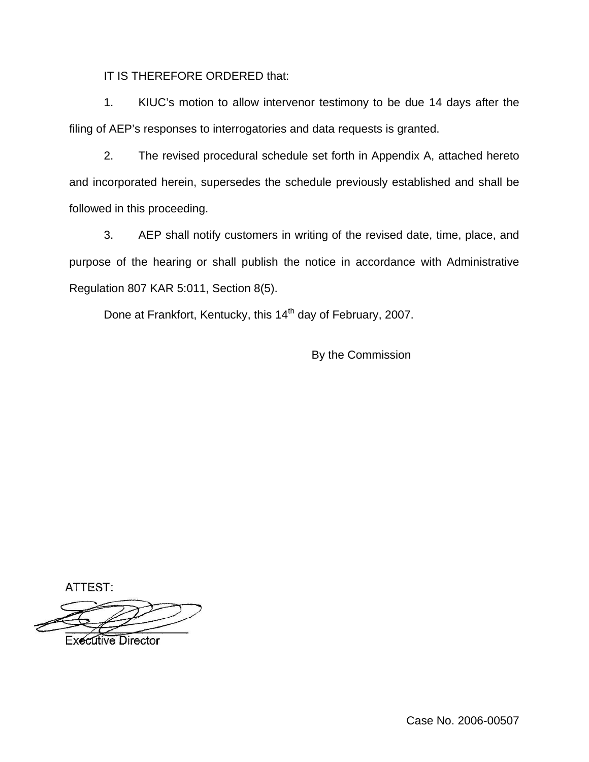IT IS THEREFORE ORDERED that:

1. KIUC's motion to allow intervenor testimony to be due 14 days after the filing of AEP's responses to interrogatories and data requests is granted.

2. The revised procedural schedule set forth in Appendix A, attached hereto and incorporated herein, supersedes the schedule previously established and shall be followed in this proceeding.

3. AEP shall notify customers in writing of the revised date, time, place, and purpose of the hearing or shall publish the notice in accordance with Administrative Regulation 807 KAR 5:011, Section 8(5).

Done at Frankfort, Kentucky, this 14<sup>th</sup> day of February, 2007.

By the Commission

ATTEST:

**Executive Director** 

Case No. 2006-00507